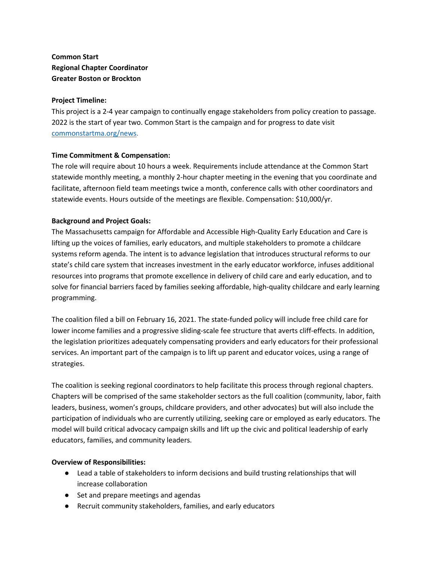**Common Start Regional Chapter Coordinator Greater Boston or Brockton**

### **Project Timeline:**

This project is a 2-4 year campaign to continually engage stakeholders from policy creation to passage. 2022 is the start of year two. Common Start is the campaign and for progress to date visit commonstartma.org/news.

### **Time Commitment & Compensation:**

The role will require about 10 hours a week. Requirements include attendance at the Common Start statewide monthly meeting, a monthly 2-hour chapter meeting in the evening that you coordinate and facilitate, afternoon field team meetings twice a month, conference calls with other coordinators and statewide events. Hours outside of the meetings are flexible. Compensation: \$10,000/yr.

### **Background and Project Goals:**

The Massachusetts campaign for Affordable and Accessible High-Quality Early Education and Care is lifting up the voices of families, early educators, and multiple stakeholders to promote a childcare systems reform agenda. The intent is to advance legislation that introduces structural reforms to our state's child care system that increases investment in the early educator workforce, infuses additional resources into programs that promote excellence in delivery of child care and early education, and to solve for financial barriers faced by families seeking affordable, high-quality childcare and early learning programming.

The coalition filed a bill on February 16, 2021. The state-funded policy will include free child care for lower income families and a progressive sliding-scale fee structure that averts cliff-effects. In addition, the legislation prioritizes adequately compensating providers and early educators for their professional services. An important part of the campaign is to lift up parent and educator voices, using a range of strategies.

The coalition is seeking regional coordinators to help facilitate this process through regional chapters. Chapters will be comprised of the same stakeholder sectors as the full coalition (community, labor, faith leaders, business, women's groups, childcare providers, and other advocates) but will also include the participation of individuals who are currently utilizing, seeking care or employed as early educators. The model will build critical advocacy campaign skills and lift up the civic and political leadership of early educators, families, and community leaders.

### **Overview of Responsibilities:**

- Lead a table of stakeholders to inform decisions and build trusting relationships that will increase collaboration
- Set and prepare meetings and agendas
- Recruit community stakeholders, families, and early educators